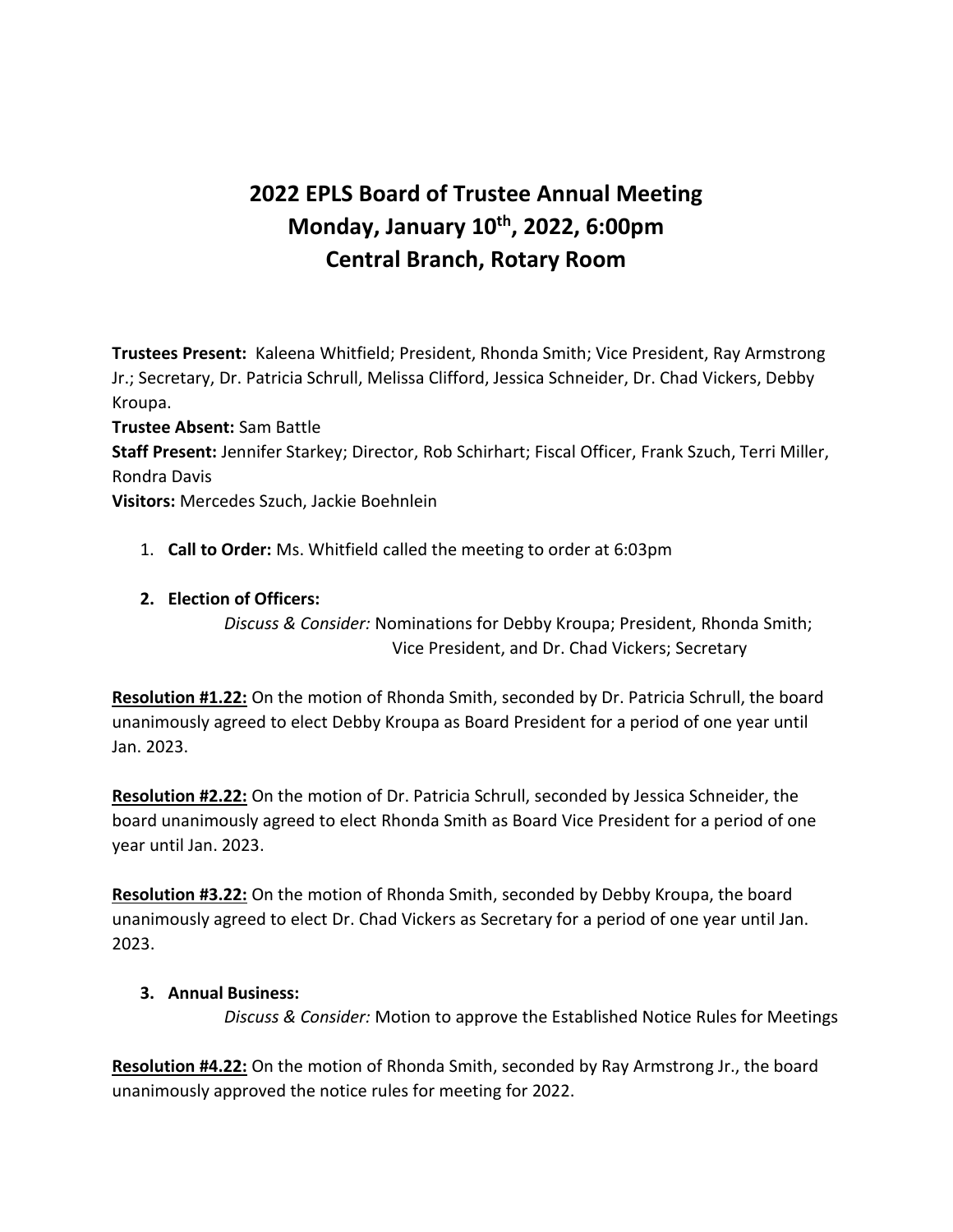# **2022 EPLS Board of Trustee Annual Meeting Monday, January 10th, 2022, 6:00pm Central Branch, Rotary Room**

**Trustees Present:** Kaleena Whitfield; President, Rhonda Smith; Vice President, Ray Armstrong Jr.; Secretary, Dr. Patricia Schrull, Melissa Clifford, Jessica Schneider, Dr. Chad Vickers, Debby Kroupa.

**Trustee Absent:** Sam Battle

**Staff Present:** Jennifer Starkey; Director, Rob Schirhart; Fiscal Officer, Frank Szuch, Terri Miller, Rondra Davis

**Visitors:** Mercedes Szuch, Jackie Boehnlein

1. **Call to Order:** Ms. Whitfield called the meeting to order at 6:03pm

### **2. Election of Officers:**

*Discuss & Consider:* Nominations for Debby Kroupa; President, Rhonda Smith; Vice President, and Dr. Chad Vickers; Secretary

**Resolution #1.22:** On the motion of Rhonda Smith, seconded by Dr. Patricia Schrull, the board unanimously agreed to elect Debby Kroupa as Board President for a period of one year until Jan. 2023.

**Resolution #2.22:** On the motion of Dr. Patricia Schrull, seconded by Jessica Schneider, the board unanimously agreed to elect Rhonda Smith as Board Vice President for a period of one year until Jan. 2023.

**Resolution #3.22:** On the motion of Rhonda Smith, seconded by Debby Kroupa, the board unanimously agreed to elect Dr. Chad Vickers as Secretary for a period of one year until Jan. 2023.

### **3. Annual Business:**

*Discuss & Consider:* Motion to approve the Established Notice Rules for Meetings

**Resolution #4.22:** On the motion of Rhonda Smith, seconded by Ray Armstrong Jr., the board unanimously approved the notice rules for meeting for 2022.